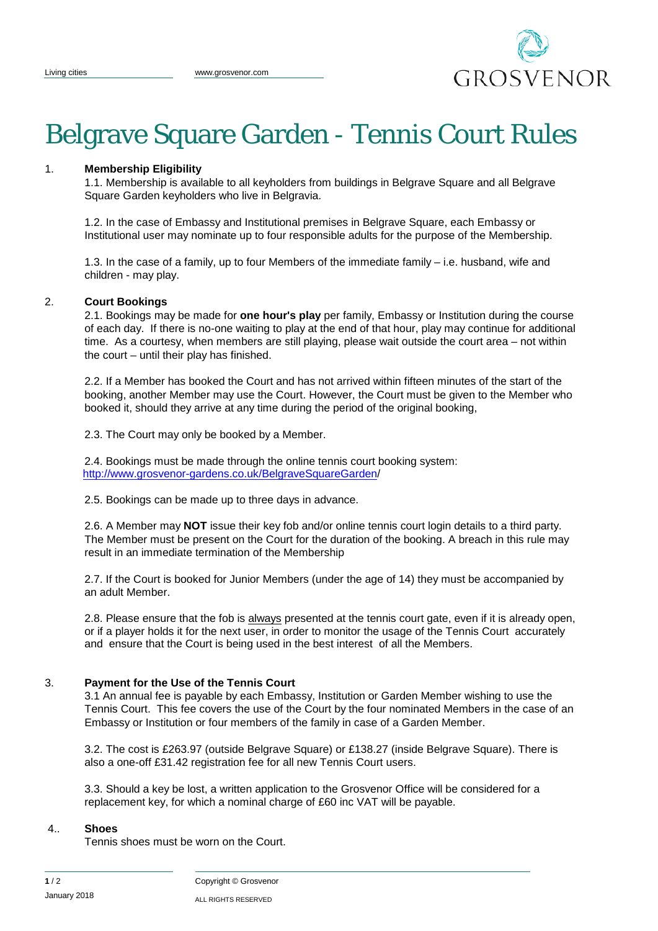

# Belgrave Square Garden - Tennis Court Rules

#### 1. **Membership Eligibility**

1.1. Membership is available to all keyholders from buildings in Belgrave Square and all Belgrave Square Garden keyholders who live in Belgravia.

1.2. In the case of Embassy and Institutional premises in Belgrave Square, each Embassy or Institutional user may nominate up to four responsible adults for the purpose of the Membership.

1.3. In the case of a family, up to four Members of the immediate family – i.e. husband, wife and children - may play.

#### 2. **Court Bookings**

2.1. Bookings may be made for **one hour's play** per family, Embassy or Institution during the course of each day. If there is no-one waiting to play at the end of that hour, play may continue for additional time. As a courtesy, when members are still playing, please wait outside the court area – not within the court – until their play has finished.

2.2. If a Member has booked the Court and has not arrived within fifteen minutes of the start of the booking, another Member may use the Court. However, the Court must be given to the Member who booked it, should they arrive at any time during the period of the original booking,

2.3. The Court may only be booked by a Member.

2.4. Bookings must be made through the online tennis court booking system: [http://www.grosvenor-gardens.co.uk/BelgraveSquareGarden/](http://www.grosvenor-gardens.co.uk/BelgraveSquareGarden/BSGTennisCourtBooking.htm)

2.5. Bookings can be made up to three days in advance.

2.6. A Member may **NOT** issue their key fob and/or online tennis court login details to a third party. The Member must be present on the Court for the duration of the booking. A breach in this rule may result in an immediate termination of the Membership

2.7. If the Court is booked for Junior Members (under the age of 14) they must be accompanied by an adult Member.

2.8. Please ensure that the fob is always presented at the tennis court gate, even if it is already open, or if a player holds it for the next user, in order to monitor the usage of the Tennis Court accurately and ensure that the Court is being used in the best interest of all the Members.

#### 3. **Payment for the Use of the Tennis Court**

3.1 An annual fee is payable by each Embassy, Institution or Garden Member wishing to use the Tennis Court. This fee covers the use of the Court by the four nominated Members in the case of an Embassy or Institution or four members of the family in case of a Garden Member.

3.2. The cost is £263.97 (outside Belgrave Square) or £138.27 (inside Belgrave Square). There is also a one-off £31.42 registration fee for all new Tennis Court users.

3.3. Should a key be lost, a written application to the Grosvenor Office will be considered for a replacement key, for which a nominal charge of £60 inc VAT will be payable.

#### 4.. **Shoes**

Tennis shoes must be worn on the Court.